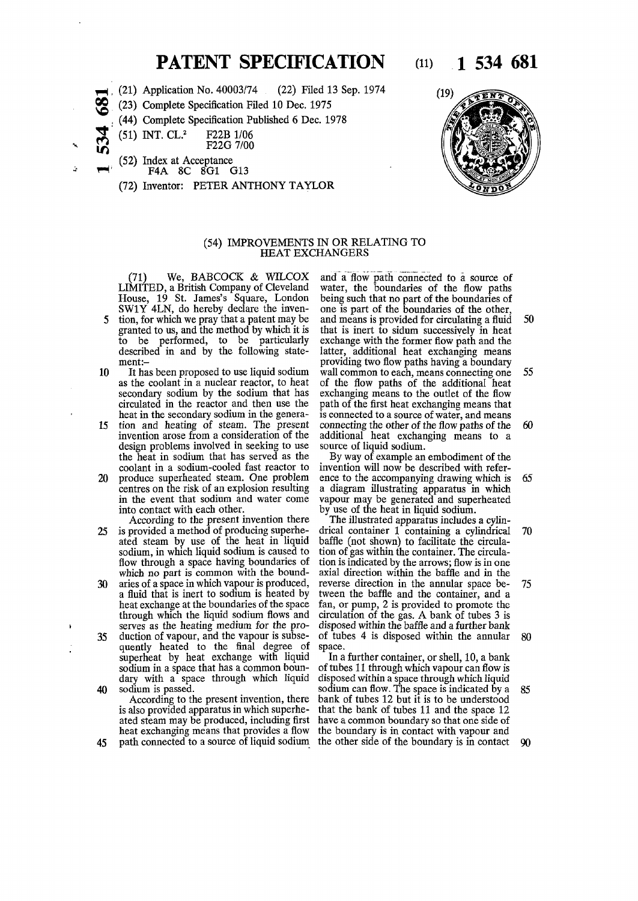## **PATENT SPECIFICATION** (11) 1 534 681

(21) Application No. 40003/74 (22) Filed 13 Sep. 1974

**o o so**  (23) Complete Specification Filed 10 Dec. 1975

- (44) Complete Specification Published 6 Dec. 1978
- (51) INT. CL.<sup>2</sup> F22B 1/06
- F22G 7/00
- (52) Index at Acceptance

 $\bf{\Delta}$  $\boldsymbol{\omega}$ IT)

- F4A 8C 8G1 G13
- (72) Inventor: PETER ANTHONY TAYLOR



## (54) IMPROVEMENTS IN OR RELATING TO HEAT EXCHANGERS

(71) We, BABCOCK & WILCOX LIMITED, a British Company of Cleveland House, 19 St. James's Square, London SW1Y 4LN, do hereby declare the inven-

- tion, for which we pray that a patent may be granted to us, and the method by which it is to be performed, to be particularly described in and by the following statement:-
- 10 It has been proposed to use liquid sodium as the coolant in a nuclear reactor, to heat secondary sodium by the sodium that has circulated in the reactor and then use the heat in the secondary sodium in the genera-
- 15 tion and heating of steam. The present invention arose from a consideration of the design problems involved in seeking to use the heat in sodium that has served as the coolant in a sodium-cooled fast reactor to 20 produce superheated steam. One problem centres on the risk of an explosion resulting
	- in the event that sodium and water come into contact with each other.
- According to the present invention there 25 is provided a method of producing superheated steam by use of the heat in liquid sodium, in which liquid sodium is caused to flow through a space having boundaries of which no part is common with the bound-
- 30 aries of a space in which vapour is produced, a fluid that is inert to sodium is heated by heat exchange at the boundaries of the space through which the liquid sodium flows and serves as the heating medium for the pro-35 duction of vapour, and the vapour is subsequently heated to the final degree of superheat by heat exchange with liquid sodium in a space that has a common boundary with a space through which liquid
- 40 sodium is passed.

According to the present invention, there is also provided apparatus in which superheated steam may be produced, including first heat exchanging means that provides a flow

and a flow path connected to a source of water, the boundaries of the flow paths being such that no part of the boundaries of one is part of the boundaries of the other, and means is provided for circulating a fluid 50 that is inert to sidum successively in heat exchange with the former flow path and the latter, additional heat exchanging means providing two flow paths having a boundary wall common to each, means connecting one 55 of the flow paths of the additional heat exchanging means to the outlet of the flow path of the first heat exchanging means that is connected to a source of water, and means connecting the other of the flow paths of the 60 additional heat exchanging means to a source of liquid sodium.

By way of example an embodiment of the invention will now be described with reference to the accompanying drawing which is 65 a diagram illustrating apparatus in which vapour may be generated and superheated by use of the heat in liquid sodium.

The illustrated apparatus includes a cylindrical container 1 containing a cylindrical 70 baffle (not shown) to facilitate the circulation of gas within the container. The circulation is indicated by the arrows; flow is in one axial direction within the baffle and in the reverse direction in the annular space be- 75 tween the baffle and the container, and a fan, or pump, 2 is provided to promote the circulation of the gas. A bank of tubes 3 is disposed within the baffle and a further bank of tubes 4 is disposed within the annular 80 space.

45 path connected to a source of liquid sodium the other side of the boundary is in contact 90 In a further container, or shell, 10, a bank of tubes 11 through which vapour can flow is disposed within a space through which liquid sodium can flow. The space is indicated by a 85 bank of tubes 12 but it is to be understood that the bank of tubes 11 and the space 12 have a common boundary so that one side of the boundary is in contact with vapour and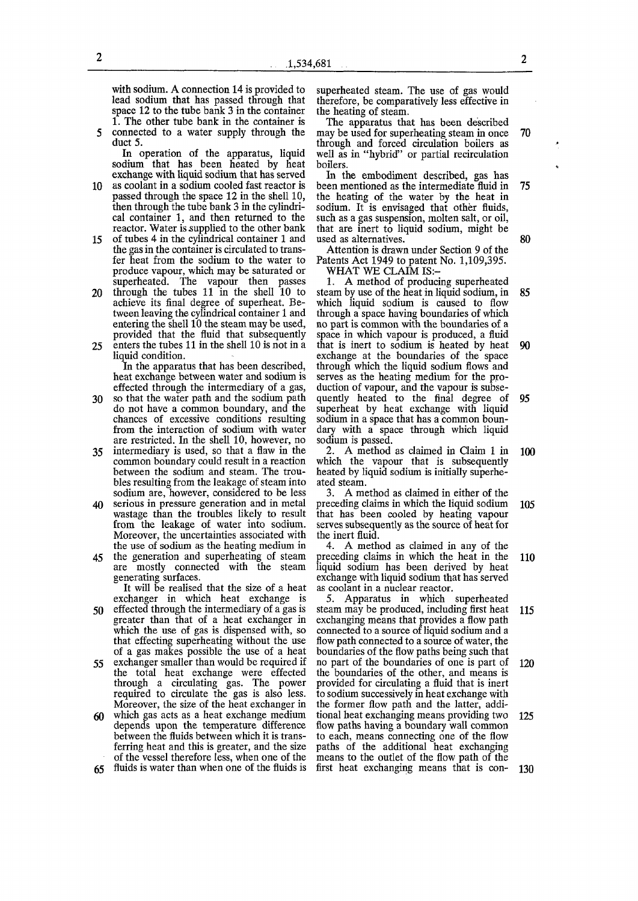with sodium. A connection 14 is provided to lead sodium that has passed through that space 12 to the tube bank 3 in the container 1. The other tube bank in the container is

5 connected to a water supply through the duct 5. In operation of the apparatus, liquid

sodium that has been heated by heat exchange with liquid sodium that has served

- 10 as coolant in a sodium cooled fast reactor is passed through the space 12 in the shell 10, then through the tube bank 3 in the cylindrical container 1, and then returned to the reactor. Water is supplied to the other bank
- 15 of tubes 4 in the cylindrical container 1 and the gas in the container is circulated to transfer heat from the sodium to the water to produce vapour, which may be saturated or superheated. The vapour then passes
- 20 through the tubes 11 in the shell 10 to achieve its final degree of superheat. Between leaving the cylindrical container 1 and entering the shell 10 the steam may be used, provided that the fluid that subsequently 25 enters the tubes 11 in the shell 10 is not in a
	- liquid condition. In the apparatus that has been described, heat exchange between water and sodium is
- effected through the intermediary of a gas, 30 so that the water path and the sodium path do not have a common boundary, and the chances of excessive conditions resulting from the interaction of sodium with water are restricted. In the shell 10, however, no
- 35 intermediary is used, so that a flaw in the common boundary could result in a reaction between the sodium and steam. The troubles resulting from the leakage of steam into sodium are, however, considered to be less
- 40 serious in pressure generation and in metal wastage than the troubles likely to result from the leakage of water into sodium. Moreover, the uncertainties associated with the use of sodium as the heating medium in
- 45 the generation and superheating of steam are mostly connected with the steam generating surfaces.

It will be realised that the size of a heat exchanger in which heat exchange is

- 50 effected through the intermediary of a gas is greater than that of a heat exchanger in which the use of gas is dispensed with, so that effecting superheating without the use of a gas makes possible the use of a heat
- **55** exchanger smaller than would be required if the total heat exchange were effected through a circulating gas. The power required to circulate the gas is also less. Moreover, the size of the heat exchanger in
- 60 which gas acts as a heat exchange medium depends upon the temperature difference between the fluids between which it is transferring heat and this is greater, and the size of the vessel therefore less, when one of the
- 65 fluids is water than when one of the fluids is

superheated steam. The use of gas would therefore, be comparatively less effective in the heating of steam.

The apparatus that has been described may be used for superheating steam in once 70 through and forced circulation boilers as well as in "hybrid" or partial recirculation boilers.

In the embodiment described, gas has been mentioned as the intermediate fluid in 75 the heating of the water by the heat in sodium. It is envisaged that other fluids, such as a gas suspension, molten salt, or oil, that are inert to liquid sodium, might be used as alternatives. 80

Attention is drawn under Section 9 of the Patents Act 1949 to patent No. 1,109,395. WHAT WE CLAIM IS:-

1. A method of producing superheated steam by use of the heat in liquid sodium, in 85 which liquid sodium is caused to flow through a space having boundaries of which no part is common with the boundaries of a space in which vapour is produced, a fluid that is inert to sodium is heated by heat 90 exchange at the boundaries of the space through which the liquid sodium flows and serves as the heating medium for the production of vapour, and the vapour is subsequently heated to the final degree of 95 superheat by heat exchange with liquid sodium in a space that has a common boundary with a space through which liquid sodium is passed.

2. A method as claimed in Claim 1 in 100 which the vapour that is subsequently heated by liquid sodium is initially superheated steam.

3. A method as claimed in either of the preceding claims in which the liquid sodium 105 that has been cooled by heating vapour serves subsequently as the source of heat for the inert fluid.

4. A method as claimed in any of the preceding claims in which the heat in the 110 liquid sodium has been derived by heat exchange with liquid sodium that has served as coolant in a nuclear reactor.

5. Apparatus in which superheated steam may be produced, including first heat 115 exchanging means that provides a flow path connected to a source of liquid sodium and a flow path connected to a source of water, the boundaries of the flow paths being such that no part of the boundaries of one is part of 120 the boundaries of the other, and means is provided for circulating a fluid that is inert to sodium successively in heat exchange with the former flow path and the latter, additional heat exchanging means providing two 125 flow paths having a boundary wall common to each, means connecting one of the flow paths of the additional heat exchanging means to the outlet of the flow path of the first heat exchanging means that is con- 130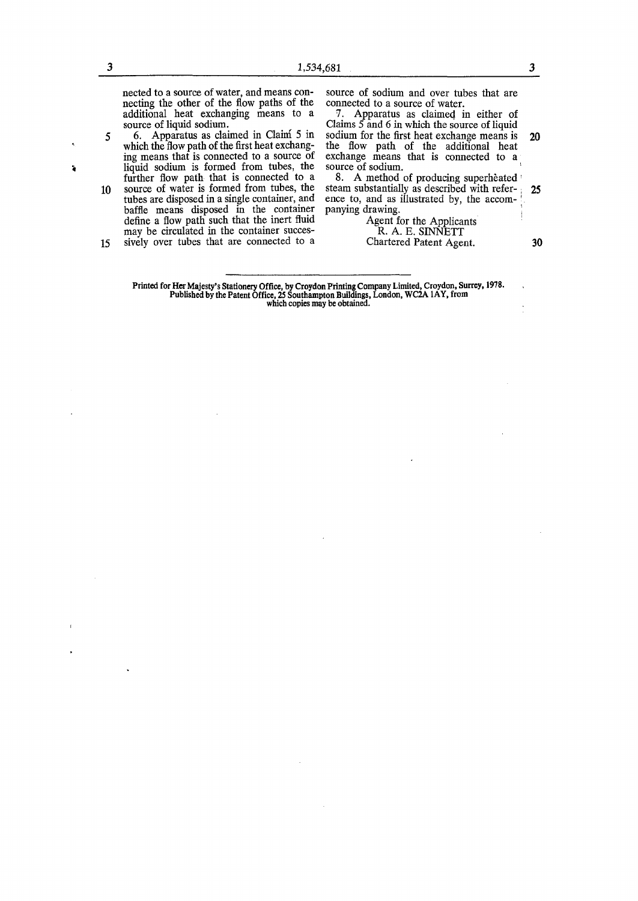nected to a source of water, and means connecting the other of the flow paths of the additional heat exchanging means to a

à

source of liquid sodium. **5** 6. Apparatus as claimed in Claim 5 in which the flow path of the first heat exchanging means that is connected to a source of

liquid sodium is formed from tubes, the further flow path that is connected to a 10 source of water is formed from tubes, the tubes are disposed in a single container, and baffle means disposed in the container define a flow path such that the inert fluid may be circulated in the container succes-15 sively over tubes that are connected to a source of sodium and over tubes that are connected to a source of water.

7. Apparatus as claimed in either of Claims 5 and 6 in which the source of liquid sodium for the first heat exchange means is 20 the flow path of the additional heat exchange means that is connected to a source of sodium.

8. A method of producing superheated steam substantially as described with refer- ; 25 ence to, and as illustrated by, the accompanying drawing.

> Agent for the Applicants R. A. E. SINNETT Chartered Patent Agent. 30

Printed for Her Majesty's Stationery Office, by Croydon Printing Company Limited, Croydon, Surrey, 1978. Published by the Patent Office, 25 Southampton Buildings, London, WC2A 1 AY, from which copies may be obtained.